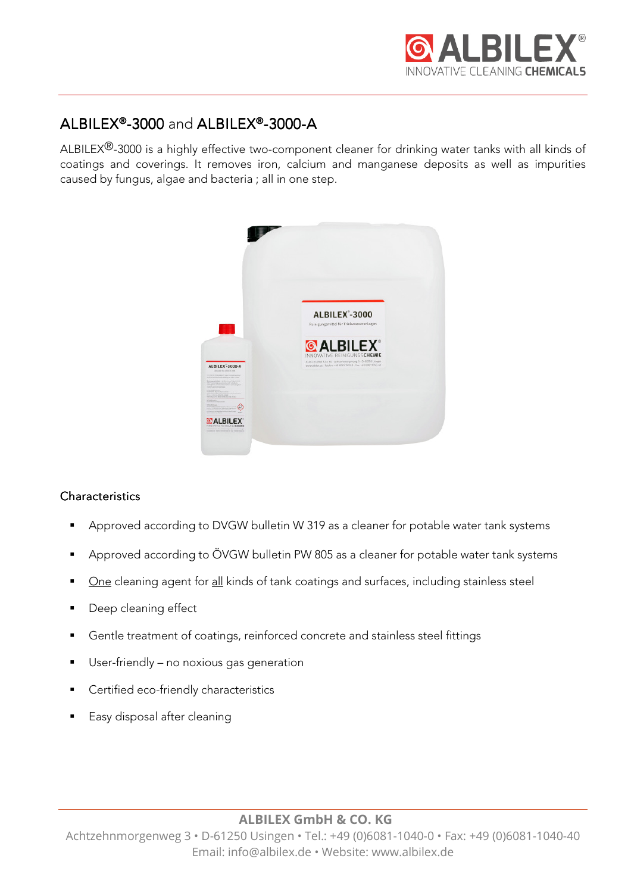

# $ALBILEX<sup>®</sup> - 3000$  and  $ALBILEX<sup>®</sup> - 3000 - A$

ALBILEX<sup>®</sup>-3000 is a highly effective two-component cleaner for drinking water tanks with all kinds of coatings and coverings. It removes iron, calcium and manganese deposits as well as impurities caused by fungus, algae and bacteria ; all in one step.



## **Characteristics**

- **Approved according to DVGW bulletin W 319 as a cleaner for potable water tank systems**
- Approved according to ÖVGW bulletin PW 805 as a cleaner for potable water tank systems
- One cleaning agent for all kinds of tank coatings and surfaces, including stainless steel
- Deep cleaning effect
- Gentle treatment of coatings, reinforced concrete and stainless steel fittings
- **User-friendly no noxious gas generation**
- Certified eco-friendly characteristics
- **Easy disposal after cleaning**